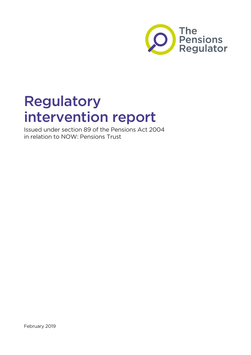

# Regulatory intervention report

Issued under section 89 of the Pensions Act 2004 in relation to NOW: Pensions Trust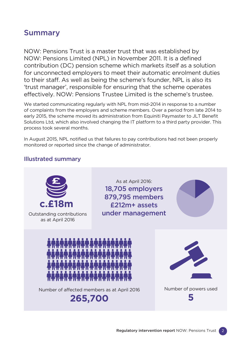### Summary

NOW: Pensions Trust is a master trust that was established by NOW: Pensions Limited (NPL) in November 2011. It is a defined contribution (DC) pension scheme which markets itself as a solution for unconnected employers to meet their automatic enrolment duties to their staff. As well as being the scheme's founder, NPL is also its 'trust manager', responsible for ensuring that the scheme operates effectively. NOW: Pensions Trustee Limited is the scheme's trustee.

We started communicating regularly with NPL from mid-2014 in response to a number of complaints from the employers and scheme members. Over a period from late 2014 to early 2015, the scheme moved its administration from Equiniti Paymaster to JLT Benefit Solutions Ltd, which also involved changing the IT platform to a third party provider. This process took several months.

In August 2015, NPL notified us that failures to pay contributions had not been properly monitored or reported since the change of administrator.

#### Illustrated summary

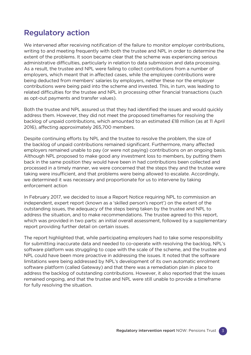### Regulatory action

We intervened after receiving notification of the failure to monitor employer contributions, writing to and meeting frequently with both the trustee and NPL in order to determine the extent of the problems. It soon became clear that the scheme was experiencing serious administrative difficulties, particularly in relation to data submission and data processing. As a result, the trustee and NPL were failing to collect contributions from a number of employers, which meant that in affected cases, while the employee contributions were being deducted from members' salaries by employers, neither these nor the employer contributions were being paid into the scheme and invested. This, in turn, was leading to related difficulties for the trustee and NPL in processing other financial transactions (such as opt-out payments and transfer values).

Both the trustee and NPL assured us that they had identified the issues and would quickly address them. However, they did not meet the proposed timeframes for resolving the backlog of unpaid contributions, which amounted to an estimated £18 million (as at 11 April 2016), affecting approximately 265,700 members.

Despite continuing efforts by NPL and the trustee to resolve the problem, the size of the backlog of unpaid contributions remained significant. Furthermore, many affected employers remained unable to pay (or were not paying) contributions on an ongoing basis. Although NPL proposed to make good any investment loss to members, by putting them back in the same position they would have been in had contributions been collected and processed in a timely manner, we were concerned that the steps they and the trustee were taking were insufficient, and that problems were being allowed to escalate. Accordingly, we determined it was necessary and proportionate for us to intervene by taking enforcement action

In February 2017, we decided to issue a Report Notice requiring NPL to commission an independent, expert report (known as a 'skilled person's report') on the extent of the outstanding issues, the adequacy of the steps being taken by the trustee and NPL to address the situation, and to make recommendations. The trustee agreed to this report, which was provided in two parts: an initial overall assessment, followed by a supplementary report providing further detail on certain issues.

The report highlighted that, while participating employers had to take some responsibility for submitting inaccurate data and needed to co-operate with resolving the backlog, NPL's software platform was struggling to cope with the scale of the scheme, and the trustee and NPL could have been more proactive in addressing the issues. It noted that the software limitations were being addressed by NPL's development of its own automatic enrolment software platform (called Gateway) and that there was a remediation plan in place to address the backlog of outstanding contributions. However, it also reported that the issues remained ongoing, and that the trustee and NPL were still unable to provide a timeframe for fully resolving the situation.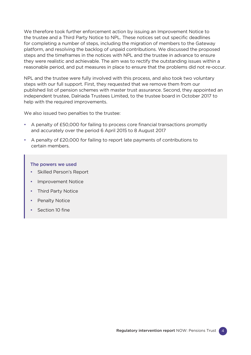We therefore took further enforcement action by issuing an Improvement Notice to the trustee and a Third Party Notice to NPL. These notices set out specific deadlines for completing a number of steps, including the migration of members to the Gateway platform, and resolving the backlog of unpaid contributions. We discussed the proposed steps and the timeframes in the notices with NPL and the trustee in advance to ensure they were realistic and achievable. The aim was to rectify the outstanding issues within a reasonable period, and put measures in place to ensure that the problems did not re-occur.

NPL and the trustee were fully involved with this process, and also took two voluntary steps with our full support. First, they requested that we remove them from our published list of pension schemes with master trust assurance. Second, they appointed an independent trustee, Dalriada Trustees Limited, to the trustee board in October 2017 to help with the required improvements.

We also issued two penalties to the trustee:

- A penalty of £50,000 for failing to process core financial transactions promptly and accurately over the period 6 April 2015 to 8 August 2017
- A penalty of £20,000 for failing to report late payments of contributions to certain members.

#### The powers we used

- Skilled Person's Report
- Improvement Notice
- Third Party Notice
- Penalty Notice
- Section 10 fine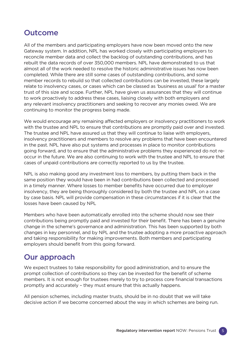### **Outcome**

All of the members and participating employers have now been moved onto the new Gateway system. In addition, NPL has worked closely with participating employers to reconcile member data and collect the backlog of outstanding contributions, and has rebuilt the data records of over 350,000 members. NPL have demonstrated to us that almost all of the work needed to resolve the historic administrative issues has now been completed. While there are still some cases of outstanding contributions, and some member records to rebuild so that collected contributions can be invested, these largely relate to insolvency cases, or cases which can be classed as 'business as usual' for a master trust of this size and scope. Further, NPL have given us assurances that they will continue to work proactively to address these cases, liaising closely with both employers and any relevant insolvency practitioners and seeking to recover any monies owed. We are continuing to monitor the progress being made.

We would encourage any remaining affected employers or insolvency practitioners to work with the trustee and NPL to ensure that contributions are promptly paid over and invested. The trustee and NPL have assured us that they will continue to liaise with employers, insolvency practitioners and members to resolve any problems that have been encountered in the past. NPL have also put systems and processes in place to monitor contributions going forward, and to ensure that the administrative problems they experienced do not reoccur in the future. We are also continuing to work with the trustee and NPL to ensure that cases of unpaid contributions are correctly reported to us by the trustee.

NPL is also making good any investment loss to members, by putting them back in the same position they would have been in had contributions been collected and processed in a timely manner. Where losses to member benefits have occurred due to employer insolvency, they are being thoroughly considered by both the trustee and NPL on a case by case basis. NPL will provide compensation in these circumstances if it is clear that the losses have been caused by NPL

Members who have been automatically enrolled into the scheme should now see their contributions being promptly paid and invested for their benefit. There has been a genuine change in the scheme's governance and administration. This has been supported by both changes in key personnel, and by NPL and the trustee adopting a more proactive approach and taking responsibility for making improvements. Both members and participating employers should benefit from this going forward.

### Our approach

We expect trustees to take responsibility for good administration, and to ensure the prompt collection of contributions so they can be invested for the benefit of scheme members. It is not enough for trustees merely to try to process core financial transactions promptly and accurately – they must ensure that this actually happens.

All pension schemes, including master trusts, should be in no doubt that we will take decisive action if we become concerned about the way in which schemes are being run.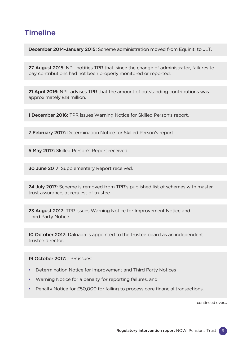## **Timeline**

| December 2014-January 2015: Scheme administration moved from Equiniti to JLT.                                                                           |
|---------------------------------------------------------------------------------------------------------------------------------------------------------|
|                                                                                                                                                         |
| 27 August 2015: NPL notifies TPR that, since the change of administrator, failures to<br>pay contributions had not been properly monitored or reported. |
|                                                                                                                                                         |
| 21 April 2016: NPL advises TPR that the amount of outstanding contributions was<br>approximately £18 million.                                           |
| 1 December 2016: TPR issues Warning Notice for Skilled Person's report.                                                                                 |
|                                                                                                                                                         |
| 7 February 2017: Determination Notice for Skilled Person's report                                                                                       |
|                                                                                                                                                         |
| 5 May 2017: Skilled Person's Report received.                                                                                                           |
|                                                                                                                                                         |
| 30 June 2017: Supplementary Report received.                                                                                                            |
|                                                                                                                                                         |
|                                                                                                                                                         |
| 24 July 2017: Scheme is removed from TPR's published list of schemes with master<br>trust assurance, at request of trustee.                             |
|                                                                                                                                                         |
| 23 August 2017: TPR issues Warning Notice for Improvement Notice and<br>Third Party Notice.                                                             |
| 10 October 2017: Dalriada is appointed to the trustee board as an independent<br>trustee director.                                                      |
|                                                                                                                                                         |
| 19 October 2017: TPR issues:                                                                                                                            |
| Determination Notice for Improvement and Third Party Notices                                                                                            |

• Penalty Notice for £50,000 for failing to process core financial transactions.

continued over...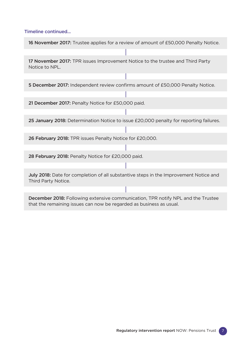#### Timeline continued...

16 November 2017: Trustee applies for a review of amount of £50,000 Penalty Notice.

17 November 2017: TPR issues Improvement Notice to the trustee and Third Party Notice to NPL.

5 December 2017: Independent review confirms amount of £50,000 Penalty Notice.

21 December 2017: Penalty Notice for £50,000 paid.

25 January 2018: Determination Notice to issue £20,000 penalty for reporting failures.

26 February 2018: TPR issues Penalty Notice for £20,000.

28 February 2018: Penalty Notice for £20,000 paid.

July 2018: Date for completion of all substantive steps in the Improvement Notice and Third Party Notice.

December 2018: Following extensive communication, TPR notify NPL and the Trustee that the remaining issues can now be regarded as business as usual.